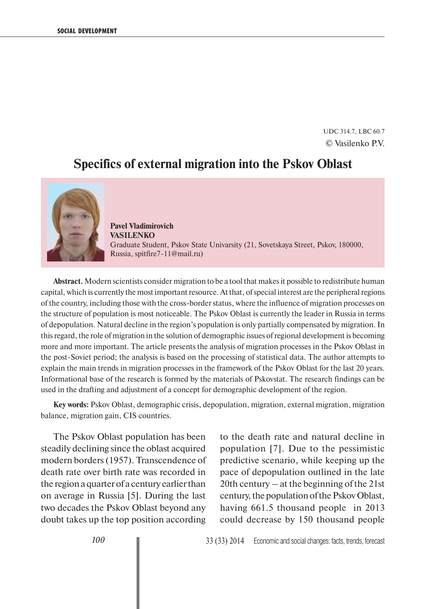UDC 314.7, LBC 60.7 © Vasilenko P.V.

## **Specifics of external migration into the Pskov Oblast**



**Pavel Vladimirovich VASILENKO** Graduate Student, Pskov State Univarsity (21, Sovetskaya Street, Pskov, 180000, Russia, spitfire7-11@mail.ru)

**Abstract.** Modern scientists consider migration to be a tool that makes it possible to redistribute human capital, which is currently the most important resource. At that, of special interest are the peripheral regions of the country, including those with the cross-border status, where the influence of migration processes on the structure of population is most noticeable. The Pskov Oblast is currently the leader in Russia in terms of depopulation. Natural decline in the region's population is only partially compensated by migration. In this regard, the role of migration in the solution of demographic issues of regional development is becoming more and more important. The article presents the analysis of migration processes in the Pskov Oblast in the post-Soviet period; the analysis is based on the processing of statistical data. The author attempts to explain the main trends in migration processes in the framework of the Pskov Oblast for the last 20 years. Informational base of the research is formed by the materials of Pskovstat. The research findings can be used in the drafting and adjustment of a concept for demographic development of the region.

**Key words:** Pskov Oblast, demographic crisis, depopulation, migration, external migration, migration balance, migration gain, CIS countries.

The Pskov Oblast population has been steadily declining since the oblast acquired modern borders (1957). Transcendence of death rate over birth rate was recorded in the region a quarter of a century earlier than on average in Russia [5]. During the last two decades the Pskov Oblast beyond any doubt takes up the top position according

to the death rate and natural decline in population [7]. Due to the pessimistic predictive scenario, while keeping up the pace of depopulation outlined in the late 20th century – at the beginning of the 21st century, the population of the Pskov Oblast, having 661.5 thousand people in 2013 could decrease by 150 thousand people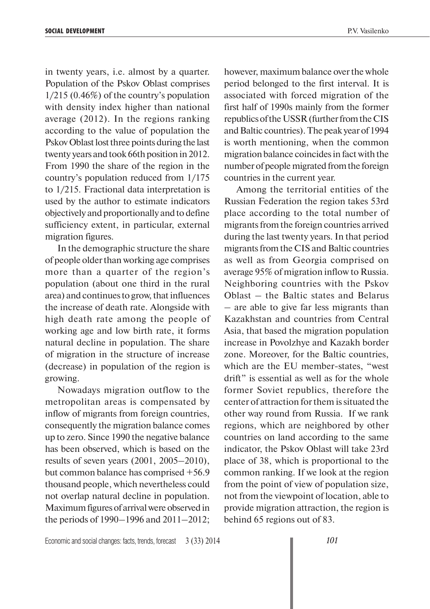in twenty years, i.e. almost by a quarter. Population of the Pskov Oblast comprises 1/215 (0.46%) of the country's population with density index higher than national average (2012). In the regions ranking according to the value of population the Pskov Oblast lost three points during the last twenty years and took 66th position in 2012. From 1990 the share of the region in the country's population reduced from 1/175 to 1/215. Fractional data interpretation is used by the author to estimate indicators objectively and proportionally and to define sufficiency extent, in particular, external migration figures.

In the demographic structure the share of people older than working age comprises more than a quarter of the region's population (about one third in the rural area) and continues to grow, that influences the increase of death rate. Alongside with high death rate among the people of working age and low birth rate, it forms natural decline in population. The share of migration in the structure of increase (decrease) in population of the region is growing.

Nowadays migration outflow to the metropolitan areas is compensated by inflow of migrants from foreign countries, consequently the migration balance comes up to zero. Since 1990 the negative balance has been observed, which is based on the results of seven years (2001, 2005–2010), but common balance has comprised +56.9 thousand people, which nevertheless could not overlap natural decline in population. Maximum figures of arrival were observed in the periods of 1990–1996 and 2011–2012; however, maximum balance over the whole period belonged to the first interval. It is associated with forced migration of the first half of 1990s mainly from the former republics of the USSR (further from the CIS and Baltic countries). The peak year of 1994 is worth mentioning, when the common migration balance coincides in fact with the number of people migrated from the foreign countries in the current year.

Among the territorial entities of the Russian Federation the region takes 53rd place according to the total number of migrants from the foreign countries arrived during the last twenty years. In that period migrants from the CIS and Baltic countries as well as from Georgia comprised on average 95% of migration inflow to Russia. Neighboring countries with the Pskov Oblast – the Baltic states and Belarus – are able to give far less migrants than Kazakhstan and countries from Central Asia, that based the migration population increase in Povolzhye and Kazakh border zone. Moreover, for the Baltic countries, which are the EU member-states, "west drift" is essential as well as for the whole former Soviet republics, therefore the center of attraction for them is situated the other way round from Russia. If we rank regions, which are neighbored by other countries on land according to the same indicator, the Pskov Oblast will take 23rd place of 38, which is proportional to the common ranking. If we look at the region from the point of view of population size, not from the viewpoint of location, able to provide migration attraction, the region is behind 65 regions out of 83.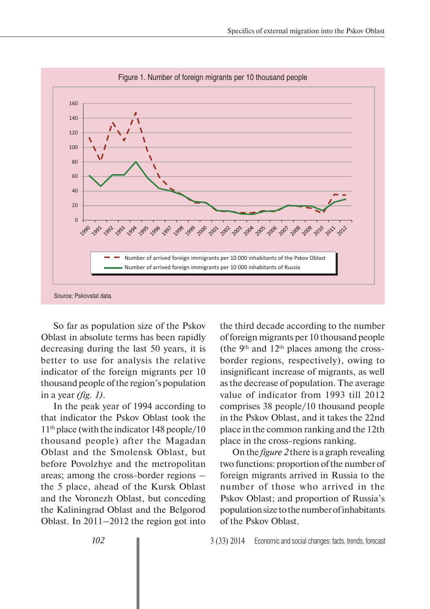

So far as population size of the Pskov Oblast in absolute terms has been rapidly decreasing during the last 50 years, it is better to use for analysis the relative indicator of the foreign migrants per 10 thousand people of the region's population in a year *(fig. 1)*.

In the peak year of 1994 according to that indicator the Pskov Oblast took the 11th place (with the indicator 148 people/10 thousand people) after the Magadan Oblast and the Smolensk Oblast, but before Povolzhye and the metropolitan areas; among the cross-border regions – the 5 place, ahead of the Kursk Oblast and the Voronezh Oblast, but conceding the Kaliningrad Oblast and the Belgorod Oblast. In 2011–2012 the region got into

the third decade according to the number of foreign migrants per 10 thousand people (the  $9<sup>th</sup>$  and  $12<sup>th</sup>$  places among the crossborder regions, respectively), owing to insignificant increase of migrants, as well as the decrease of population. The average value of indicator from 1993 till 2012 comprises 38 people/10 thousand people in the Pskov Oblast, and it takes the 22nd place in the common ranking and the 12th place in the cross-regions ranking.

On the *figure 2* there is a graph revealing two functions: proportion of the number of foreign migrants arrived in Russia to the number of those who arrived in the Pskov Oblast; and proportion of Russia's population size to the number of inhabitants of the Pskov Oblast.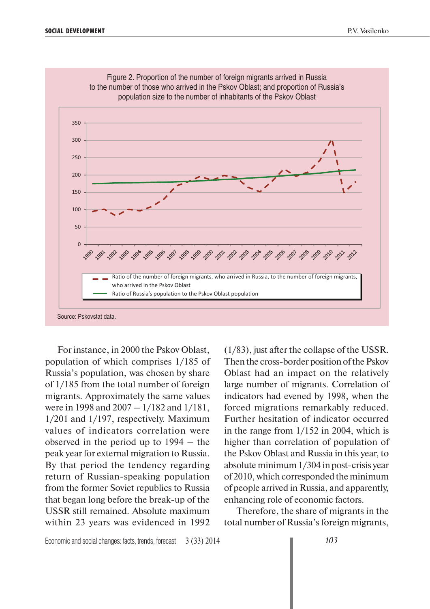

Figure 2. Proportion of the number of foreign migrants arrived in Russia

For instance, in 2000 the Pskov Oblast, population of which comprises 1/185 of Russia's population, was chosen by share of 1/185 from the total number of foreign migrants. Approximately the same values were in 1998 and 2007 – 1/182 and 1/181, 1/201 and 1/197, respectively. Maximum values of indicators correlation were observed in the period up to 1994 – the peak year for external migration to Russia. By that period the tendency regarding return of Russian-speaking population from the former Soviet republics to Russia that began long before the break-up of the USSR still remained. Absolute maximum within 23 years was evidenced in 1992

(1/83), just after the collapse of the USSR. Then the cross-border position of the Pskov Oblast had an impact on the relatively large number of migrants. Correlation of indicators had evened by 1998, when the forced migrations remarkably reduced. Further hesitation of indicator occurred in the range from 1/152 in 2004, which is higher than correlation of population of the Pskov Oblast and Russia in this year, to absolute minimum 1/304 in post-crisis year of 2010, which corresponded the minimum of people arrived in Russia, and apparently, enhancing role of economic factors.

Therefore, the share of migrants in the total number of Russia's foreign migrants,

Economic and social changes: facts, trends, forecast 3 (33) 2014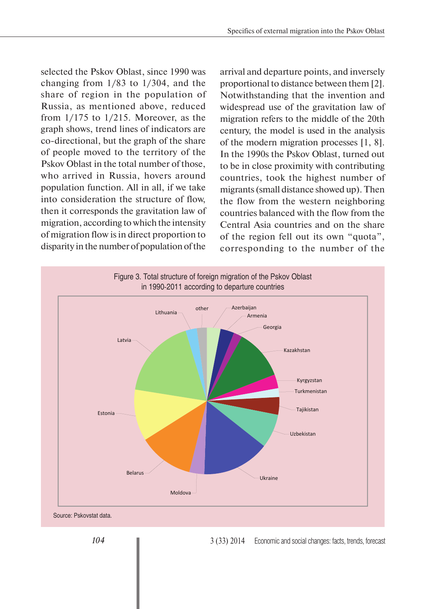selected the Pskov Oblast, since 1990 was changing from 1/83 to 1/304, and the share of region in the population of Russia, as mentioned above, reduced from  $1/175$  to  $1/215$ . Moreover, as the graph shows, trend lines of indicators are co-directional, but the graph of the share of people moved to the territory of the Pskov Oblast in the total number of those, who arrived in Russia, hovers around population function. All in all, if we take into consideration the structure of flow, then it corresponds the gravitation law of migration, according to which the intensity of migration flow is in direct proportion to disparity in the number of population of the

arrival and departure points, and inversely proportional to distance between them [2]. Notwithstanding that the invention and widespread use of the gravitation law of migration refers to the middle of the 20th century, the model is used in the analysis of the modern migration processes [1, 8]. In the 1990s the Pskov Oblast, turned out to be in close proximity with contributing countries, took the highest number of migrants (small distance showed up). Then the flow from the western neighboring countries balanced with the flow from the Central Asia countries and on the share of the region fell out its own "quota", corresponding to the number of the



3 (33) 2014 Economic and social changes: facts, trends, forecast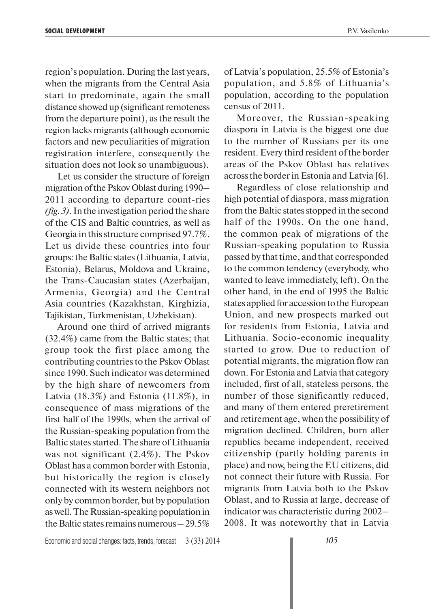region's population. During the last years, when the migrants from the Central Asia start to predominate, again the small distance showed up (significant remoteness from the departure point), as the result the region lacks migrants (although economic census of 2011.

factors and new peculiarities of migration registration interfere, consequently the situation does not look so unambiguous). Let us consider the structure of foreign

migration of the Pskov Oblast during 1990– 2011 according to departure count-ries *(fig. 3)*. In the investigation period the share of the CIS and Baltic countries, as well as Georgia in this structure comprised 97.7%. Let us divide these countries into four groups: the Baltic states (Lithuania, Latvia, Estonia), Belarus, Moldova and Ukraine, the Trans-Caucasian states (Azerbaijan, Armenia, Georgia) and the Central Asia countries (Kazakhstan, Kirghizia, Tajikistan, Turkmenistan, Uzbekistan).

Around one third of arrived migrants (32.4%) came from the Baltic states; that group took the first place among the contributing countries to the Pskov Oblast since 1990. Such indicator was determined by the high share of newcomers from Latvia (18.3%) and Estonia (11.8%), in consequence of mass migrations of the first half of the 1990s, when the arrival of the Russian-speaking population from the Baltic states started. The share of Lithuania was not significant (2.4%). The Pskov Oblast has a common border with Estonia, but historically the region is closely connected with its western neighbors not only by common border, but by population as well. The Russian-speaking population in the Baltic states remains numerous – 29.5%

of Latvia's population, 25.5% of Estonia's population, and 5.8% of Lithuania's population, according to the population

Moreover, the Russian-speaking diaspora in Latvia is the biggest one due to the number of Russians per its one resident. Every third resident of the border areas of the Pskov Oblast has relatives across the border in Estonia and Latvia [6].

Regardless of close relationship and high potential of diaspora, mass migration from the Baltic states stopped in the second half of the 1990s. On the one hand, the common peak of migrations of the Russian-speaking population to Russia passed by that time, and that corresponded to the common tendency (everybody, who wanted to leave immediately, left). On the other hand, in the end of 1995 the Baltic states applied for accession to the European Union, and new prospects marked out for residents from Estonia, Latvia and Lithuania. Socio-economic inequality started to grow. Due to reduction of potential migrants, the migration flow ran down. For Estonia and Latvia that category included, first of all, stateless persons, the number of those significantly reduced, and many of them entered preretirement and retirement age, when the possibility of migration declined. Children, born after republics became independent, received citizenship (partly holding parents in place) and now, being the EU citizens, did not connect their future with Russia. For migrants from Latvia both to the Pskov Oblast, and to Russia at large, decrease of indicator was characteristic during 2002– 2008. It was noteworthy that in Latvia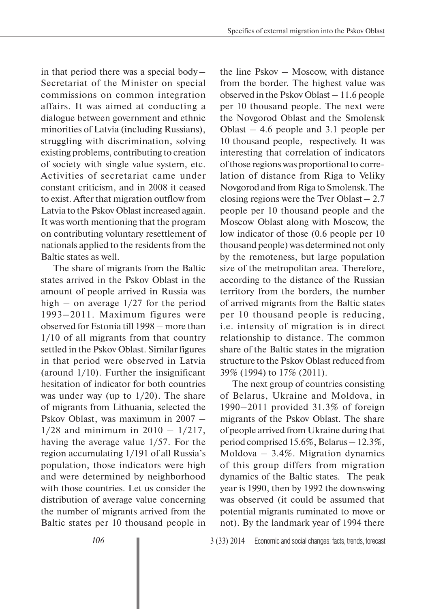in that period there was a special body – Secretariat of the Minister on special commissions on common integration affairs. It was aimed at conducting a dialogue between government and ethnic minorities of Latvia (including Russians), struggling with discrimination, solving existing problems, contributing to creation of society with single value system, etc. Activities of secretariat came under constant criticism, and in 2008 it ceased to exist. After that migration outflow from Latvia to the Pskov Oblast increased again. It was worth mentioning that the program on contributing voluntary resettlement of nationals applied to the residents from the Baltic states as well.

The share of migrants from the Baltic states arrived in the Pskov Oblast in the amount of people arrived in Russia was high – on average  $1/27$  for the period 1993–2011. Maximum figures were observed for Estonia till 1998 – more than 1/10 of all migrants from that country settled in the Pskov Oblast. Similar figures in that period were observed in Latvia (around 1/10). Further the insignificant hesitation of indicator for both countries was under way (up to  $1/20$ ). The share of migrants from Lithuania, selected the Pskov Oblast, was maximum in 2007 –  $1/28$  and minimum in  $2010 - 1/217$ , having the average value 1/57. For the region accumulating 1/191 of all Russia's population, those indicators were high and were determined by neighborhood with those countries. Let us consider the distribution of average value concerning the number of migrants arrived from the Baltic states per 10 thousand people in the line Pskov – Moscow, with distance from the border. The highest value was observed in the Pskov Oblast – 11.6 people per 10 thousand people. The next were the Novgorod Oblast and the Smolensk Oblast – 4.6 people and 3.1 people per 10 thousand people, respectively. It was interesting that correlation of indicators of those regions was proportional to correlation of distance from Riga to Veliky Novgorod and from Riga to Smolensk. The closing regions were the Tver Oblast  $-2.7$ people per 10 thousand people and the Moscow Oblast along with Moscow, the low indicator of those (0.6 people per 10 thousand people) was determined not only by the remoteness, but large population size of the metropolitan area. Therefore, according to the distance of the Russian territory from the borders, the number of arrived migrants from the Baltic states per 10 thousand people is reducing, i.e. intensity of migration is in direct relationship to distance. The common share of the Baltic states in the migration structure to the Pskov Oblast reduced from 39% (1994) to 17% (2011).

The next group of countries consisting of Belarus, Ukraine and Moldova, in 1990–2011 provided 31.3% of foreign migrants of the Pskov Oblast. The share of people arrived from Ukraine during that period comprised 15.6%, Belarus – 12.3%, Moldova – 3.4%. Migration dynamics of this group differs from migration dynamics of the Baltic states. The peak year is 1990, then by 1992 the downswing was observed (it could be assumed that potential migrants ruminated to move or not). By the landmark year of 1994 there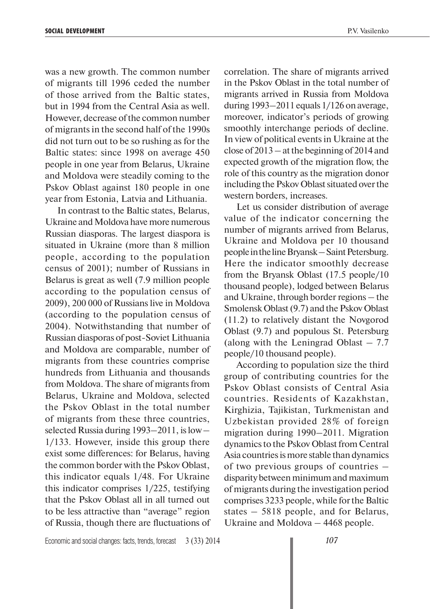was a new growth. The common number of migrants till 1996 ceded the number of those arrived from the Baltic states, but in 1994 from the Central Asia as well. However, decrease of the common number of migrants in the second half of the 1990s did not turn out to be so rushing as for the Baltic states: since 1998 on average 450 people in one year from Belarus, Ukraine and Moldova were steadily coming to the Pskov Oblast against 180 people in one year from Estonia, Latvia and Lithuania.

In contrast to the Baltic states, Belarus, Ukraine and Moldova have more numerous Russian diasporas. The largest diaspora is situated in Ukraine (more than 8 million people, according to the population census of 2001); number of Russians in Belarus is great as well (7.9 million people according to the population census of 2009), 200 000 of Russians live in Moldova (according to the population census of 2004). Notwithstanding that number of Russian diasporas of post-Soviet Lithuania and Moldova are comparable, number of migrants from these countries comprise hundreds from Lithuania and thousands from Moldova. The share of migrants from Belarus, Ukraine and Moldova, selected the Pskov Oblast in the total number of migrants from these three countries, selected Russia during 1993–2011, is low – 1/133. However, inside this group there exist some differences: for Belarus, having the common border with the Pskov Oblast, this indicator equals 1/48. For Ukraine this indicator comprises 1/225, testifying that the Pskov Oblast all in all turned out to be less attractive than "average" region of Russia, though there are fluctuations of correlation. The share of migrants arrived in the Pskov Oblast in the total number of migrants arrived in Russia from Moldova during 1993–2011 equals 1/126 on average, moreover, indicator's periods of growing smoothly interchange periods of decline. In view of political events in Ukraine at the close of 2013 – at the beginning of 2014 and expected growth of the migration flow, the role of this country as the migration donor including the Pskov Oblast situated over the western borders, increases.

Let us consider distribution of average value of the indicator concerning the number of migrants arrived from Belarus, Ukraine and Moldova per 10 thousand people in the line Bryansk – Saint Petersburg. Here the indicator smoothly decrease from the Bryansk Oblast (17.5 people/10 thousand people), lodged between Belarus and Ukraine, through border regions – the Smolensk Oblast (9.7) and the Pskov Oblast (11.2) to relatively distant the Novgorod Oblast (9.7) and populous St. Petersburg (along with the Leningrad Oblast  $-7.7$ people/10 thousand people).

According to population size the third group of contributing countries for the Pskov Oblast consists of Central Asia countries. Residents of Kazakhstan, Kirghizia, Tajikistan, Turkmenistan and Uzbekistan provided 28% of foreign migration during 1990–2011. Migration dynamics to the Pskov Oblast from Central Asia countries is more stable than dynamics of two previous groups of countries – disparity between minimum and maximum of migrants during the investigation period comprises 3233 people, while for the Baltic states – 5818 people, and for Belarus, Ukraine and Moldova – 4468 people.

Economic and social changes: facts, trends, forecast 3 (33) 2014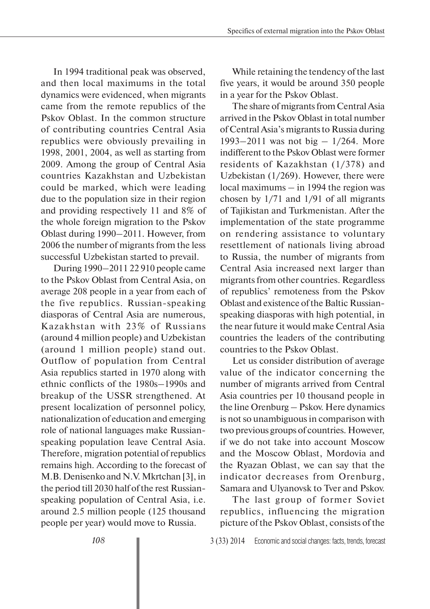In 1994 traditional peak was observed, and then local maximums in the total dynamics were evidenced, when migrants came from the remote republics of the Pskov Oblast. In the common structure of contributing countries Central Asia republics were obviously prevailing in 1998, 2001, 2004, as well as starting from 2009. Among the group of Central Asia countries Kazakhstan and Uzbekistan could be marked, which were leading due to the population size in their region and providing respectively 11 and 8% of the whole foreign migration to the Pskov Oblast during 1990–2011. However, from 2006 the number of migrants from the less successful Uzbekistan started to prevail.

During 1990–2011 22 910 people came to the Pskov Oblast from Central Asia, on average 208 people in a year from each of the five republics. Russian-speaking diasporas of Central Asia are numerous, Kazakhstan with 23% of Russians (around 4 million people) and Uzbekistan (around 1 million people) stand out. Outflow of population from Central Asia republics started in 1970 along with ethnic conflicts of the 1980s–1990s and breakup of the USSR strengthened. At present localization of personnel policy, nationalization of education and emerging role of national languages make Russianspeaking population leave Central Asia. Therefore, migration potential of republics remains high. According to the forecast of M.B. Denisenko and N.V. Mkrtchan [3], in the period till 2030 half of the rest Russianspeaking population of Central Asia, i.e. around 2.5 million people (125 thousand people per year) would move to Russia.

While retaining the tendency of the last five years, it would be around 350 people in a year for the Pskov Oblast.

The share of migrants from Central Asia arrived in the Pskov Oblast in total number of Central Asia's migrants to Russia during 1993–2011 was not big – 1/264. More indifferent to the Pskov Oblast were former residents of Kazakhstan (1/378) and Uzbekistan (1/269). However, there were local maximums – in 1994 the region was chosen by 1/71 and 1/91 of all migrants of Tajikistan and Turkmenistan. After the implementation of the state programme on rendering assistance to voluntary resettlement of nationals living abroad to Russia, the number of migrants from Central Asia increased next larger than migrants from other countries. Regardless of republics' remoteness from the Pskov Oblast and existence of the Baltic Russianspeaking diasporas with high potential, in the near future it would make Central Asia countries the leaders of the contributing countries to the Pskov Oblast.

Let us consider distribution of average value of the indicator concerning the number of migrants arrived from Central Asia countries per 10 thousand people in the line Orenburg – Pskov. Here dynamics is not so unambiguous in comparison with two previous groups of countries. However, if we do not take into account Moscow and the Moscow Oblast, Mordovia and the Ryazan Oblast, we can say that the indicator decreases from Orenburg, Samara and Ulyanovsk to Tver and Pskov.

The last group of former Soviet republics, influencing the migration picture of the Pskov Oblast, consists of the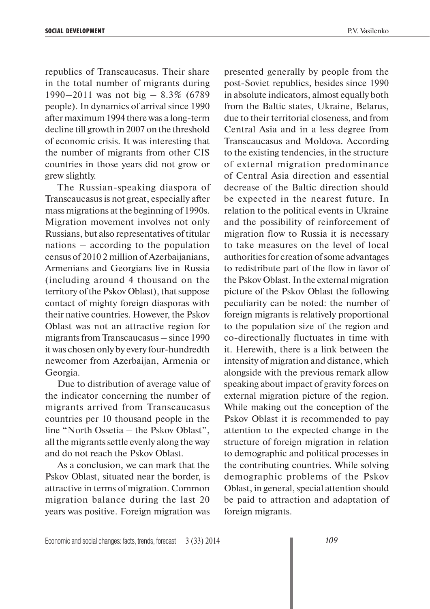republics of Transcaucasus. Their share in the total number of migrants during 1990–2011 was not big – 8.3% (6789 people). In dynamics of arrival since 1990 after maximum 1994 there was a long-term decline till growth in 2007 on the threshold of economic crisis. It was interesting that the number of migrants from other CIS countries in those years did not grow or grew slightly.

The Russian-speaking diaspora of Transcaucasus is not great, especially after mass migrations at the beginning of 1990s. Migration movement involves not only Russians, but also representatives of titular nations – according to the population census of 2010 2 million of Azerbaijanians, Armenians and Georgians live in Russia (including around 4 thousand on the territory of the Pskov Oblast), that suppose contact of mighty foreign diasporas with their native countries. However, the Pskov Oblast was not an attractive region for migrants from Transcaucasus – since 1990 it was chosen only by every four-hundredth newcomer from Azerbaijan, Armenia or Georgia.

Due to distribution of average value of the indicator concerning the number of migrants arrived from Transcaucasus countries per 10 thousand people in the line "North Ossetia – the Pskov Oblast", all the migrants settle evenly along the way and do not reach the Pskov Oblast.

As a conclusion, we can mark that the Pskov Oblast, situated near the border, is attractive in terms of migration. Common migration balance during the last 20 years was positive. Foreign migration was

presented generally by people from the post-Soviet republics, besides since 1990 in absolute indicators, almost equally both from the Baltic states, Ukraine, Belarus, due to their territorial closeness, and from Central Asia and in a less degree from Transcaucasus and Moldova. According to the existing tendencies, in the structure of external migration predominance of Central Asia direction and essential decrease of the Baltic direction should be expected in the nearest future. In relation to the political events in Ukraine and the possibility of reinforcement of migration flow to Russia it is necessary to take measures on the level of local authorities for creation of some advantages to redistribute part of the flow in favor of the Pskov Oblast. In the external migration picture of the Pskov Oblast the following peculiarity can be noted: the number of foreign migrants is relatively proportional to the population size of the region and co-directionally fluctuates in time with it. Herewith, there is a link between the intensity of migration and distance, which alongside with the previous remark allow speaking about impact of gravity forces on external migration picture of the region. While making out the conception of the Pskov Oblast it is recommended to pay attention to the expected change in the structure of foreign migration in relation to demographic and political processes in the contributing countries. While solving demographic problems of the Pskov Oblast, in general, special attention should be paid to attraction and adaptation of foreign migrants.